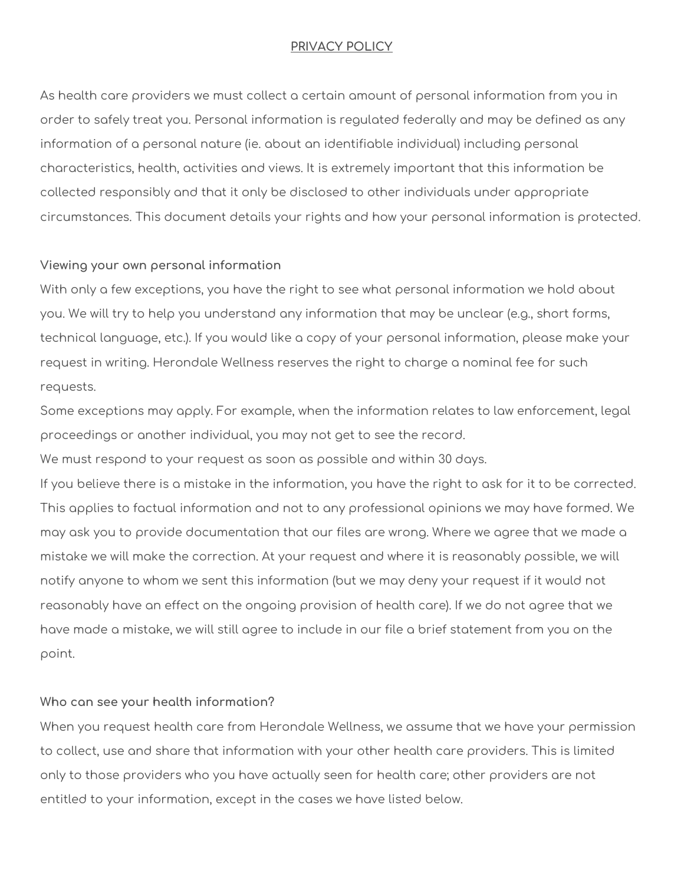#### **PRIVACY POLICY**

As health care providers we must collect a certain amount of personal information from you in order to safely treat you. Personal information is regulated federally and may be defined as any information of a personal nature (ie. about an identifiable individual) including personal characteristics, health, activities and views. It is extremely important that this information be collected responsibly and that it only be disclosed to other individuals under appropriate circumstances. This document details your rights and how your personal information is protected.

#### **Viewing your own personal information**

With only a few exceptions, you have the right to see what personal information we hold about you. We will try to help you understand any information that may be unclear (e.g., short forms, technical language, etc.). If you would like a copy of your personal information, please make your request in writing. Herondale Wellness reserves the right to charge a nominal fee for such requests.

Some exceptions may apply. For example, when the information relates to law enforcement, legal proceedings or another individual, you may not get to see the record.

We must respond to your request as soon as possible and within 30 days.

If you believe there is a mistake in the information, you have the right to ask for it to be corrected. This applies to factual information and not to any professional opinions we may have formed. We may ask you to provide documentation that our files are wrong. Where we agree that we made a mistake we will make the correction. At your request and where it is reasonably possible, we will notify anyone to whom we sent this information (but we may deny your request if it would not reasonably have an effect on the ongoing provision of health care). If we do not agree that we have made a mistake, we will still agree to include in our file a brief statement from you on the point.

#### **Who can see your health information?**

When you request health care from Herondale Wellness, we assume that we have your permission to collect, use and share that information with your other health care providers. This is limited only to those providers who you have actually seen for health care; other providers are not entitled to your information, except in the cases we have listed below.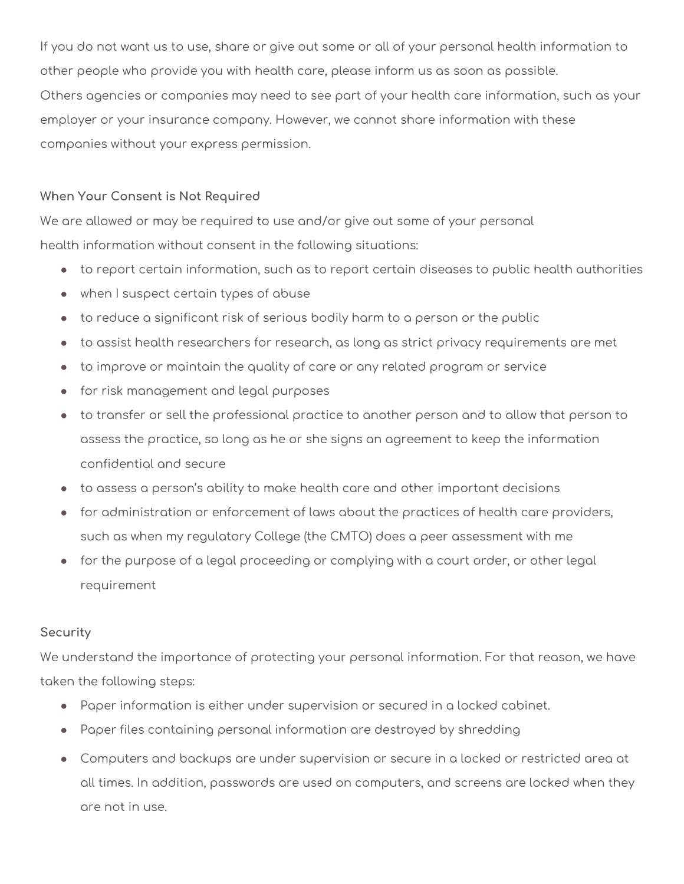If you do not want us to use, share or give out some or all of your personal health information to other people who provide you with health care, please inform us as soon as possible. Others agencies or companies may need to see part of your health care information, such as your employer or your insurance company. However, we cannot share information with these companies without your express permission.

# **When Your Consent is Not Required**

We are allowed or may be required to use and/or give out some of your personal health information without consent in the following situations:

- to report certain information, such as to report certain diseases to public health authorities
- when I suspect certain types of abuse
- to reduce a significant risk of serious bodily harm to a person or the public
- to assist health researchers for research, as long as strict privacy requirements are met
- to improve or maintain the quality of care or any related program or service
- for risk management and legal purposes
- to transfer or sell the professional practice to another person and to allow that person to assess the practice, so long as he or she signs an agreement to keep the information confidential and secure
- to assess a person's ability to make health care and other important decisions
- for administration or enforcement of laws about the practices of health care providers, such as when my regulatory College (the CMTO) does a peer assessment with me
- for the purpose of a legal proceeding or complying with a court order, or other legal requirement

### **Security**

We understand the importance of protecting your personal information. For that reason, we have taken the following steps:

- Paper information is either under supervision or secured in a locked cabinet.
- Paper files containing personal information are destroyed by shredding
- Computers and backups are under supervision or secure in a locked or restricted area at all times. In addition, passwords are used on computers, and screens are locked when they are not in use.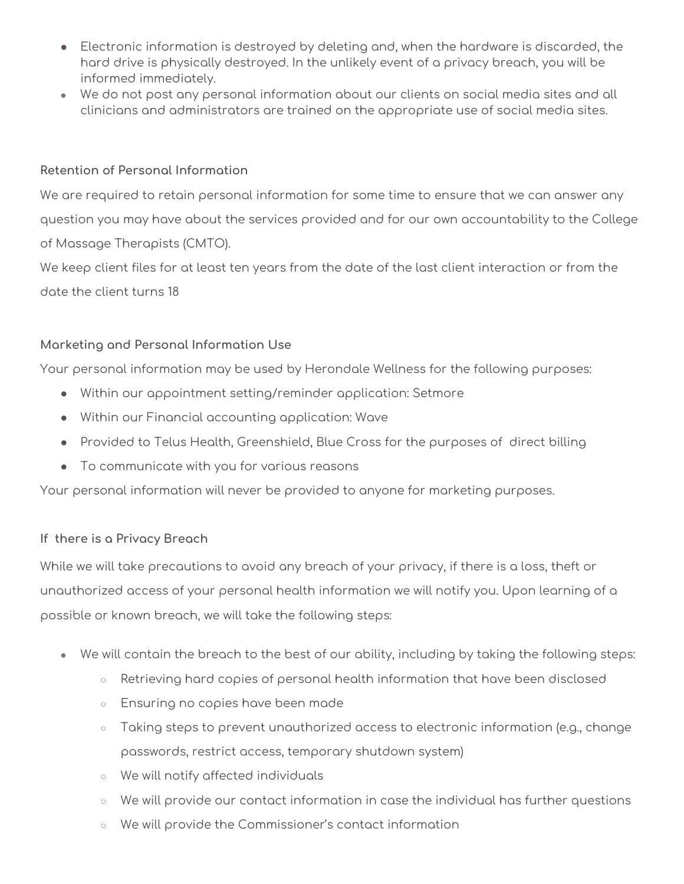- Electronic information is destroyed by deleting and, when the hardware is discarded, the hard drive is physically destroyed. In the unlikely event of a privacy breach, you will be informed immediately.
- We do not post any personal information about our clients on social media sites and all clinicians and administrators are trained on the appropriate use of social media sites.

### **Retention of Personal Information**

We are required to retain personal information for some time to ensure that we can answer any question you may have about the services provided and for our own accountability to the College of Massage Therapists (CMTO). We keep client files for at least ten years from the date of the last client interaction or from the

date the client turns 18

# **Marketing and Personal Information Use**

Your personal information may be used by Herondale Wellness for the following purposes:

- Within our appointment setting/reminder application: Setmore
- Within our Financial accounting application: Wave
- Provided to Telus Health, Greenshield, Blue Cross for the purposes of direct billing
- To communicate with you for various reasons

Your personal information will never be provided to anyone for marketing purposes.

# **If there is a Privacy Breach**

While we will take precautions to avoid any breach of your privacy, if there is a loss, theft or unauthorized access of your personal health information we will notify you. Upon learning of a possible or known breach, we will take the following steps:

- We will contain the breach to the best of our ability, including by taking the following steps:
	- Retrieving hard copies of personal health information that have been disclosed
	- Ensuring no copies have been made
	- $\circ$  Taking steps to prevent unauthorized access to electronic information (e.g., change passwords, restrict access, temporary shutdown system)
	- We will notify affected individuals
	- $\circ$  We will provide our contact information in case the individual has further questions
	- We will provide the Commissioner's contact information